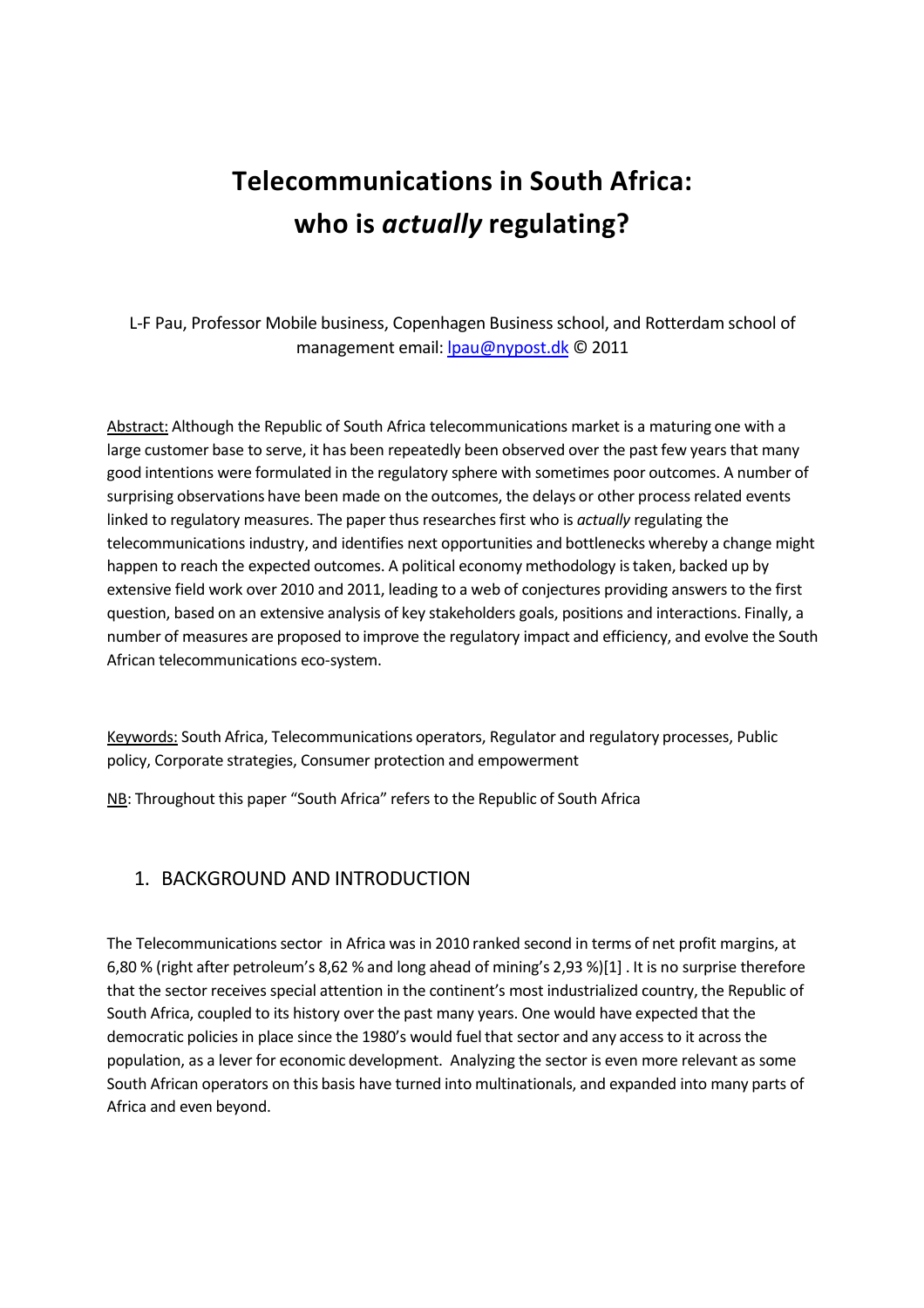# **Telecommunications in South Africa: who is** *actually* **regulating?**

L-F Pau, Professor Mobile business, Copenhagen Business school, and Rotterdam school of management email: lpau@nypost.dk © 2011

Abstract: Although the Republic of South Africa telecommunications market is a maturing one with a large customer base to serve, it has been repeatedly been observed over the past few years that many good intentions were formulated in the regulatory sphere with sometimes poor outcomes. A number of surprising observations have been made on the outcomes, the delays or other process related events linked to regulatory measures. The paper thus researches first who is *actually* regulating the telecommunications industry, and identifies next opportunities and bottlenecks whereby a change might happen to reach the expected outcomes. A political economy methodology is taken, backed up by extensive field work over 2010 and 2011, leading to a web of conjectures providing answers to the first question, based on an extensive analysis of key stakeholders goals, positions and interactions. Finally, a number of measures are proposed to improve the regulatory impact and efficiency, and evolve the South African telecommunications eco-system.

Keywords: South Africa, Telecommunications operators, Regulator and regulatory processes, Public policy, Corporate strategies, Consumer protection and empowerment

NB: Throughout this paper "South Africa" refers to the Republic of South Africa

## 1. BACKGROUND AND INTRODUCTION

The Telecommunications sector in Africa was in 2010 ranked second in terms of net profit margins, at 6,80 % (right after petroleum's 8,62 % and long ahead of mining's 2,93 %)[1] . It is no surprise therefore that the sector receives special attention in the continent's most industrialized country, the Republic of South Africa, coupled to its history over the past many years. One would have expected that the democratic policies in place since the 1980's would fuel that sector and any access to it across the population, as a lever for economic development. Analyzing the sector is even more relevant as some South African operators on this basis have turned into multinationals, and expanded into many parts of Africa and even beyond.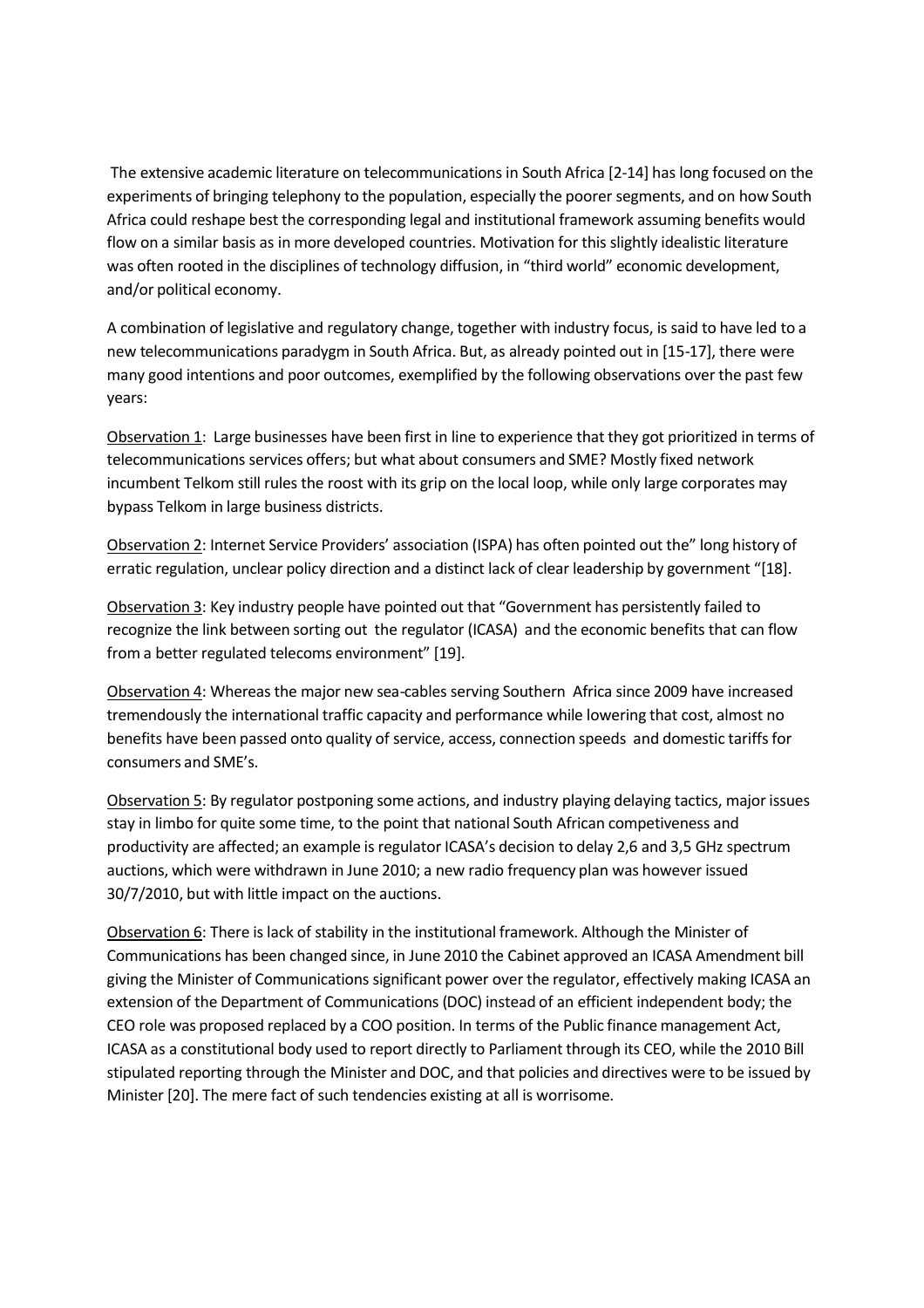The extensive academic literature on telecommunications in South Africa [2-14] has long focused on the experiments of bringing telephony to the population, especially the poorer segments, and on how South Africa could reshape best the corresponding legal and institutional framework assuming benefits would flow on a similar basis as in more developed countries. Motivation for this slightly idealistic literature was often rooted in the disciplines of technology diffusion, in "third world" economic development, and/or political economy.

A combination of legislative and regulatory change, together with industry focus, is said to have led to a new telecommunications paradygm in South Africa. But, as already pointed out in [15-17], there were many good intentions and poor outcomes, exemplified by the following observations over the past few years:

Observation 1: Large businesses have been first in line to experience that they got prioritized in terms of telecommunications services offers; but what about consumers and SME? Mostly fixed network incumbent Telkom still rules the roost with its grip on the local loop, while only large corporates may bypass Telkom in large business districts.

Observation 2: Internet Service Providers' association (ISPA) has often pointed out the" long history of erratic regulation, unclear policy direction and a distinct lack of clear leadership by government "[18].

Observation 3: Key industry people have pointed out that "Government has persistently failed to recognize the link between sorting out the regulator (ICASA) and the economic benefits that can flow from a better regulated telecoms environment" [19].

Observation 4: Whereas the major new sea-cables serving Southern Africa since 2009 have increased tremendously the international traffic capacity and performance while lowering that cost, almost no benefits have been passed onto quality of service, access, connection speeds and domestic tariffs for consumers and SME's.

Observation 5: By regulator postponing some actions, and industry playing delaying tactics, major issues stay in limbo for quite some time, to the point that national South African competiveness and productivity are affected; an example is regulator ICASA's decision to delay 2,6 and 3,5 GHz spectrum auctions, which were withdrawn in June 2010; a new radio frequency plan was however issued 30/7/2010, but with little impact on the auctions.

Observation 6: There is lack of stability in the institutional framework. Although the Minister of Communications has been changed since, in June 2010 the Cabinet approved an ICASA Amendment bill giving the Minister of Communications significant power over the regulator, effectively making ICASA an extension of the Department of Communications (DOC) instead of an efficient independent body; the CEO role was proposed replaced by a COO position. In terms of the Public finance management Act, ICASA as a constitutional body used to report directly to Parliament through its CEO, while the 2010 Bill stipulated reporting through the Minister and DOC, and that policies and directives were to be issued by Minister [20]. The mere fact of such tendencies existing at all is worrisome.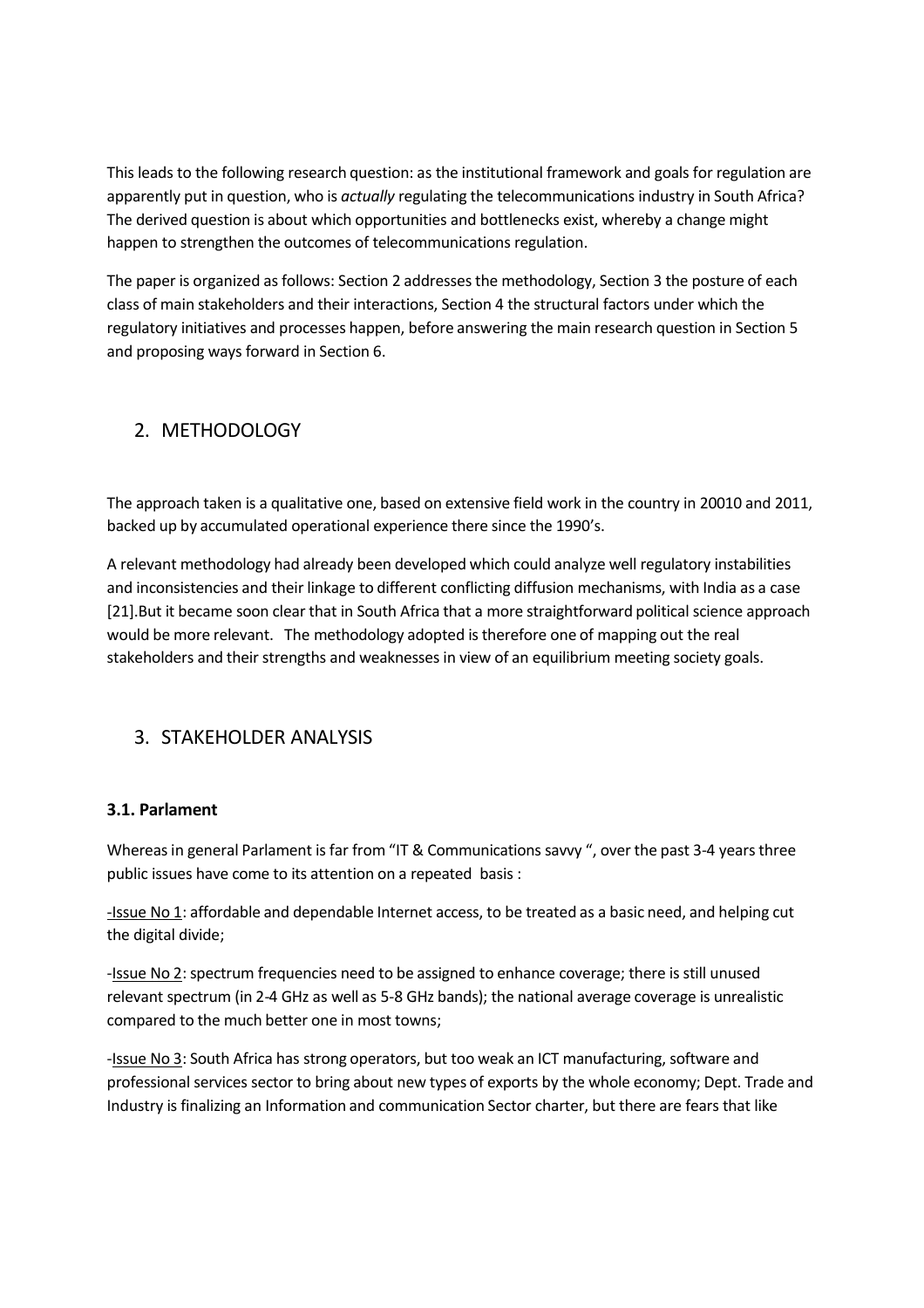This leads to the following research question: as the institutional framework and goals for regulation are apparently put in question, who is *actually* regulating the telecommunications industry in South Africa? The derived question is about which opportunities and bottlenecks exist, whereby a change might happen to strengthen the outcomes of telecommunications regulation.

The paper is organized as follows: Section 2 addresses the methodology, Section 3 the posture of each class of main stakeholders and their interactions, Section 4 the structural factors under which the regulatory initiatives and processes happen, before answering the main research question in Section 5 and proposing ways forward in Section 6.

## 2. METHODOLOGY

The approach taken is a qualitative one, based on extensive field work in the country in 20010 and 2011, backed up by accumulated operational experience there since the 1990's.

A relevant methodology had already been developed which could analyze well regulatory instabilities and inconsistencies and their linkage to different conflicting diffusion mechanisms, with India as a case [21].But it became soon clear that in South Africa that a more straightforward political science approach would be more relevant. The methodology adopted is therefore one of mapping out the real stakeholders and their strengths and weaknesses in view of an equilibrium meeting society goals.

## 3. STAKEHOLDER ANALYSIS

#### **3.1. Parlament**

Whereas in general Parlament is far from "IT & Communications savvy", over the past 3-4 years three public issues have come to its attention on a repeated basis :

-Issue No 1: affordable and dependable Internet access, to be treated as a basic need, and helping cut the digital divide;

-**Issue No 2**: spectrum frequencies need to be assigned to enhance coverage; there is still unused relevant spectrum (in 2-4 GHz as well as 5-8 GHz bands); the national average coverage is unrealistic compared to the much better one in most towns;

-Issue No 3: South Africa has strong operators, but too weak an ICT manufacturing, software and professional services sector to bring about new types of exports by the whole economy; Dept. Trade and Industry is finalizing an Information and communication Sector charter, but there are fears that like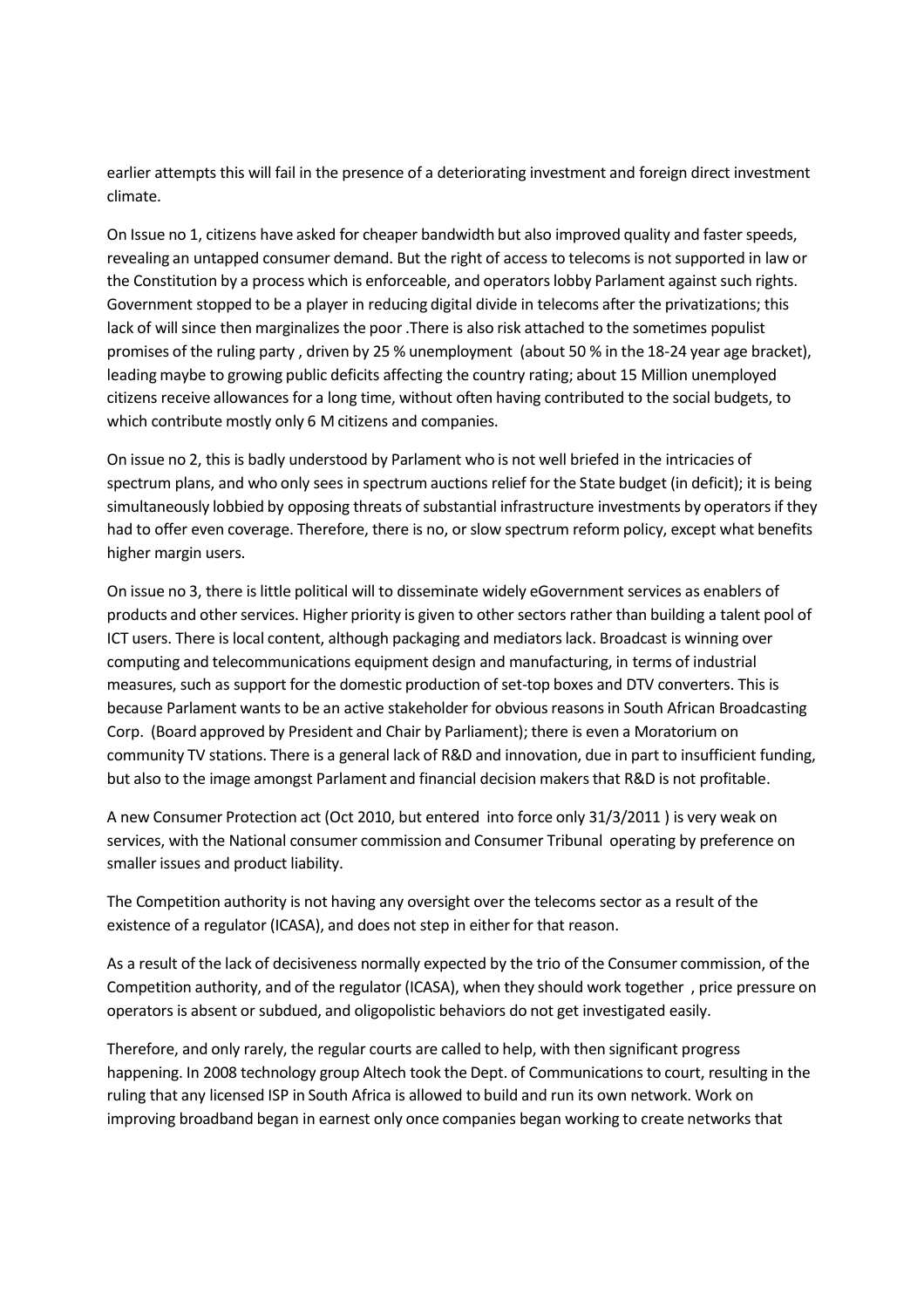earlier attempts this will fail in the presence of a deteriorating investment and foreign direct investment climate.

On Issue no 1, citizens have asked for cheaper bandwidth but also improved quality and faster speeds, revealing an untapped consumer demand. But the right of access to telecoms is not supported in law or the Constitution by a process which is enforceable, and operators lobby Parlament against such rights. Government stopped to be a player in reducing digital divide in telecoms after the privatizations; this lack of will since then marginalizes the poor .There is also risk attached to the sometimes populist promises of the ruling party , driven by 25 % unemployment (about 50 % in the 18-24 year age bracket), leading maybe to growing public deficits affecting the country rating; about 15 Million unemployed citizens receive allowances for a long time, without often having contributed to the social budgets, to which contribute mostly only 6 M citizens and companies.

On issue no 2, this is badly understood by Parlament who is not well briefed in the intricacies of spectrum plans, and who only sees in spectrum auctions relief for the State budget (in deficit); it is being simultaneously lobbied by opposing threats of substantial infrastructure investments by operators if they had to offer even coverage. Therefore, there is no, or slow spectrum reform policy, except what benefits higher margin users.

On issue no 3, there is little political will to disseminate widely eGovernment services as enablers of products and other services. Higher priority is given to other sectors rather than building a talent pool of ICT users. There is local content, although packaging and mediators lack. Broadcast is winning over computing and telecommunications equipment design and manufacturing, in terms of industrial measures, such as support for the domestic production of set-top boxes and DTV converters. This is because Parlament wants to be an active stakeholder for obvious reasons in South African Broadcasting Corp. (Board approved by President and Chair by Parliament); there is even a Moratorium on community TV stations. There is a general lack of R&D and innovation, due in part to insufficient funding, but also to the image amongst Parlament and financial decision makers that R&D is not profitable.

A new Consumer Protection act (Oct 2010, but entered into force only 31/3/2011 ) is very weak on services, with the National consumer commission and Consumer Tribunal operating by preference on smaller issues and product liability.

The Competition authority is not having any oversight over the telecoms sector as a result of the existence of a regulator (ICASA), and does not step in either for that reason.

As a result of the lack of decisiveness normally expected by the trio of the Consumer commission, of the Competition authority, and of the regulator (ICASA), when they should work together , price pressure on operators is absent or subdued, and oligopolistic behaviors do not get investigated easily.

Therefore, and only rarely, the regular courts are called to help, with then significant progress happening. In 2008 technology group Altech took the Dept. of Communications to court, resulting in the ruling that any licensed ISP in South Africa is allowed to build and run its own network. Work on improving broadband began in earnest only once companies began working to create networks that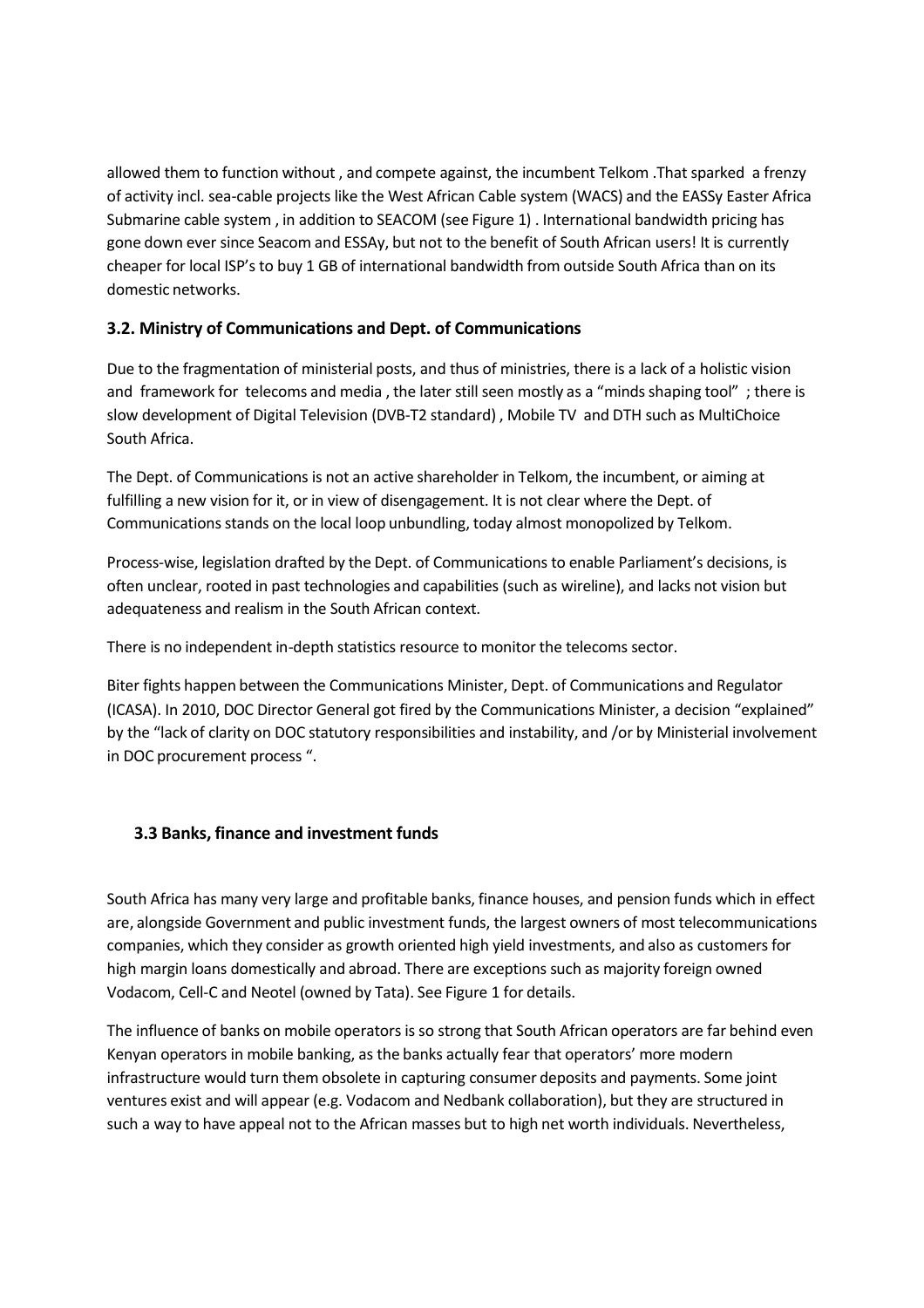allowed them to function without , and compete against, the incumbent Telkom .That sparked a frenzy of activity incl. sea-cable projects like the West African Cable system (WACS) and the EASSy Easter Africa Submarine cable system , in addition to SEACOM (see Figure 1) . International bandwidth pricing has gone down ever since Seacom and ESSAy, but not to the benefit of South African users! It is currently cheaper for local ISP's to buy 1 GB of international bandwidth from outside South Africa than on its domestic networks.

#### **3.2. Ministry of Communications and Dept. of Communications**

Due to the fragmentation of ministerial posts, and thus of ministries, there is a lack of a holistic vision and framework for telecoms and media , the later still seen mostly as a "minds shaping tool" ; there is slow development of Digital Television (DVB-T2 standard) , Mobile TV and DTH such as MultiChoice South Africa.

The Dept. of Communications is not an active shareholder in Telkom, the incumbent, or aiming at fulfilling a new vision for it, or in view of disengagement. It is not clear where the Dept. of Communications stands on the local loop unbundling, today almost monopolized by Telkom.

Process-wise, legislation drafted by the Dept. of Communications to enable Parliament's decisions, is often unclear, rooted in past technologies and capabilities (such as wireline), and lacks not vision but adequateness and realism in the South African context.

There is no independent in-depth statistics resource to monitor the telecoms sector.

Biter fights happen between the Communications Minister, Dept. of Communications and Regulator (ICASA). In 2010, DOC Director General got fired by the Communications Minister, a decision "explained" by the "lack of clarity on DOC statutory responsibilities and instability, and /or by Ministerial involvement in DOC procurement process ".

### **3.3 Banks, finance and investment funds**

South Africa has many very large and profitable banks, finance houses, and pension funds which in effect are, alongside Government and public investment funds, the largest owners of most telecommunications companies, which they consider as growth oriented high yield investments, and also as customers for high margin loans domestically and abroad. There are exceptions such as majority foreign owned Vodacom, Cell-C and Neotel (owned by Tata). See Figure 1 for details.

The influence of banks on mobile operators is so strong that South African operators are far behind even Kenyan operators in mobile banking, as the banks actually fear that operators' more modern infrastructure would turn them obsolete in capturing consumer deposits and payments. Some joint ventures exist and will appear (e.g. Vodacom and Nedbank collaboration), but they are structured in such a way to have appeal not to the African masses but to high net worth individuals. Nevertheless,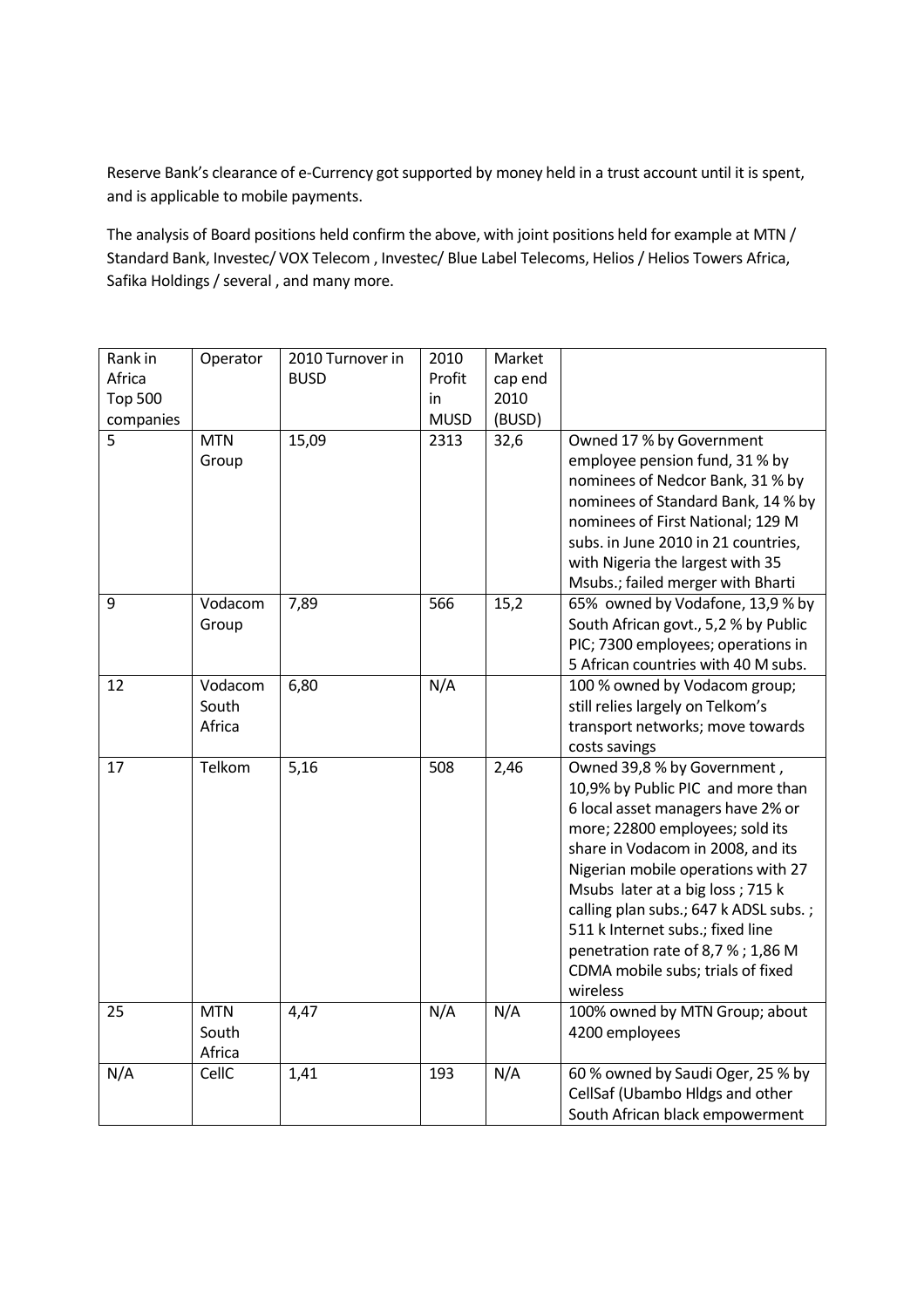Reserve Bank's clearance of e-Currency got supported by money held in a trust account until it is spent, and is applicable to mobile payments.

The analysis of Board positions held confirm the above, with joint positions held for example at MTN / Standard Bank, Investec/ VOX Telecom , Investec/ Blue Label Telecoms, Helios / Helios Towers Africa, Safika Holdings / several , and many more.

| Rank in        | Operator            | 2010 Turnover in | 2010        | Market  |                                                  |
|----------------|---------------------|------------------|-------------|---------|--------------------------------------------------|
| Africa         |                     | <b>BUSD</b>      | Profit      | cap end |                                                  |
| <b>Top 500</b> |                     |                  | in          | 2010    |                                                  |
| companies      |                     |                  | <b>MUSD</b> | (BUSD)  |                                                  |
| 5              | <b>MTN</b>          | 15,09            | 2313        | 32,6    | Owned 17 % by Government                         |
|                | Group               |                  |             |         | employee pension fund, 31 % by                   |
|                |                     |                  |             |         | nominees of Nedcor Bank, 31 % by                 |
|                |                     |                  |             |         | nominees of Standard Bank, 14 % by               |
|                |                     |                  |             |         | nominees of First National; 129 M                |
|                |                     |                  |             |         | subs. in June 2010 in 21 countries,              |
|                |                     |                  |             |         | with Nigeria the largest with 35                 |
|                |                     |                  |             |         | Msubs.; failed merger with Bharti                |
| 9              | Vodacom             | 7,89             | 566         | 15,2    | 65% owned by Vodafone, 13,9 % by                 |
|                | Group               |                  |             |         | South African govt., 5,2 % by Public             |
|                |                     |                  |             |         | PIC; 7300 employees; operations in               |
|                |                     |                  |             |         | 5 African countries with 40 M subs.              |
| 12             | Vodacom             | 6,80             | N/A         |         | 100 % owned by Vodacom group;                    |
|                | South               |                  |             |         | still relies largely on Telkom's                 |
|                | Africa              |                  |             |         | transport networks; move towards                 |
|                |                     |                  |             |         | costs savings                                    |
| 17             | Telkom              | 5,16             | 508         | 2,46    | Owned 39,8 % by Government,                      |
|                |                     |                  |             |         | 10,9% by Public PIC and more than                |
|                |                     |                  |             |         | 6 local asset managers have 2% or                |
|                |                     |                  |             |         | more; 22800 employees; sold its                  |
|                |                     |                  |             |         | share in Vodacom in 2008, and its                |
|                |                     |                  |             |         | Nigerian mobile operations with 27               |
|                |                     |                  |             |         | Msubs later at a big loss; 715 k                 |
|                |                     |                  |             |         | calling plan subs.; 647 k ADSL subs.;            |
|                |                     |                  |             |         | 511 k Internet subs.; fixed line                 |
|                |                     |                  |             |         | penetration rate of 8,7 %; 1,86 M                |
|                |                     |                  |             |         | CDMA mobile subs; trials of fixed                |
|                |                     |                  |             |         | wireless                                         |
| 25             | <b>MTN</b><br>South | 4,47             | N/A         | N/A     | 100% owned by MTN Group; about<br>4200 employees |
|                |                     |                  |             |         |                                                  |
| N/A            | Africa<br>CellC     | 1,41             | 193         | N/A     | 60 % owned by Saudi Oger, 25 % by                |
|                |                     |                  |             |         | CellSaf (Ubambo Hldgs and other                  |
|                |                     |                  |             |         |                                                  |
|                |                     |                  |             |         | South African black empowerment                  |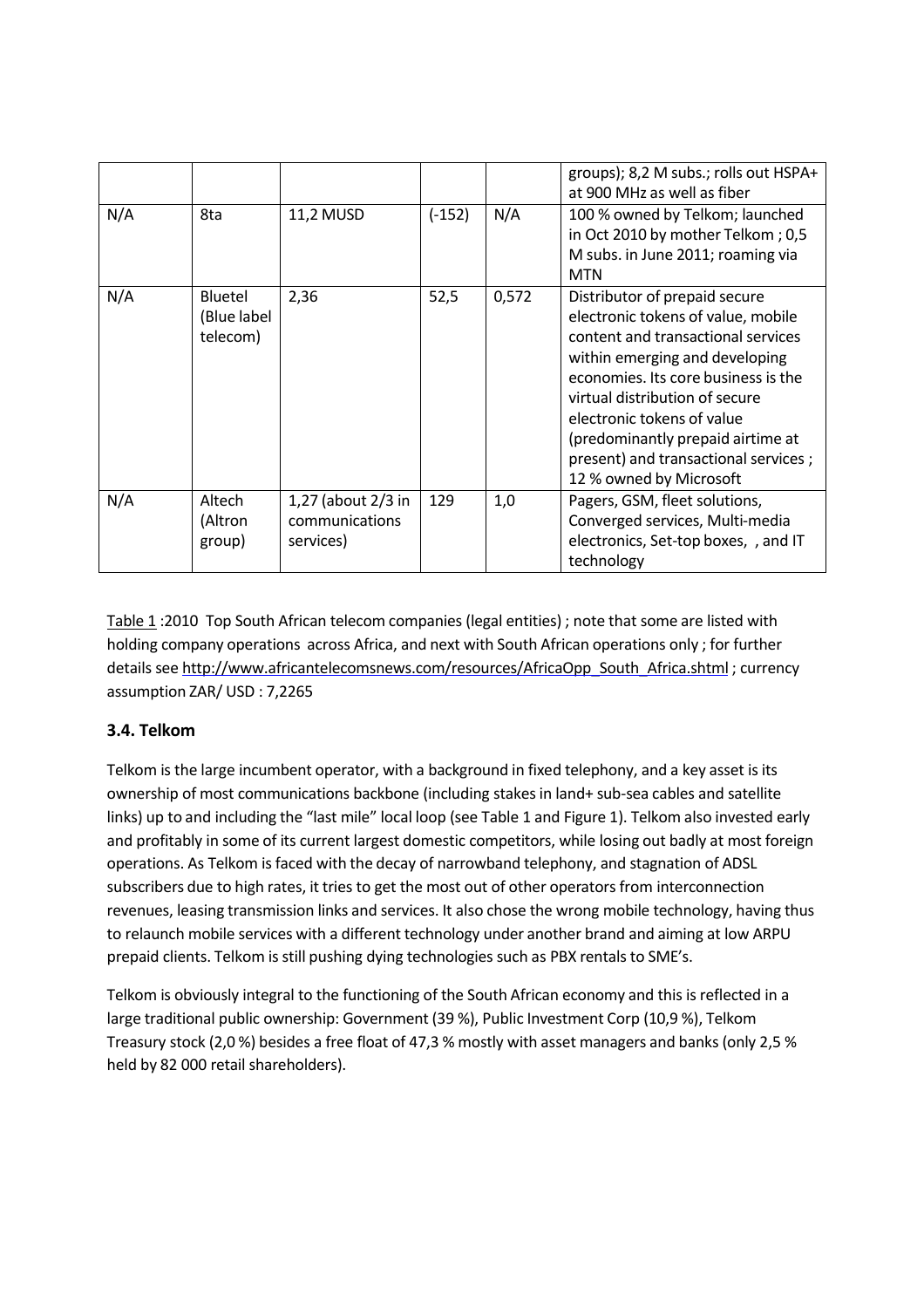|     |                                    |                                                   |          |       | groups); 8,2 M subs.; rolls out HSPA+<br>at 900 MHz as well as fiber                                                                                                                                                                                                                                                                                       |
|-----|------------------------------------|---------------------------------------------------|----------|-------|------------------------------------------------------------------------------------------------------------------------------------------------------------------------------------------------------------------------------------------------------------------------------------------------------------------------------------------------------------|
| N/A | 8ta                                | <b>11,2 MUSD</b>                                  | $(-152)$ | N/A   | 100 % owned by Telkom; launched<br>in Oct 2010 by mother Telkom; 0,5<br>M subs. in June 2011; roaming via<br><b>MTN</b>                                                                                                                                                                                                                                    |
| N/A | Bluetel<br>(Blue label<br>telecom) | 2,36                                              | 52,5     | 0,572 | Distributor of prepaid secure<br>electronic tokens of value, mobile<br>content and transactional services<br>within emerging and developing<br>economies. Its core business is the<br>virtual distribution of secure<br>electronic tokens of value<br>(predominantly prepaid airtime at<br>present) and transactional services;<br>12 % owned by Microsoft |
| N/A | Altech<br>(Altron<br>group)        | 1,27 (about 2/3 in<br>communications<br>services) | 129      | 1,0   | Pagers, GSM, fleet solutions,<br>Converged services, Multi-media<br>electronics, Set-top boxes, , and IT<br>technology                                                                                                                                                                                                                                     |

Table 1 :2010 Top South African telecom companies (legal entities) ; note that some are listed with holding company operations across Africa, and next with South African operations only ; for further details see [http://www.africantelecomsnews.com/resources/AfricaOpp\\_South\\_Africa.shtml](http://www.africantelecomsnews.com/resources/AfricaOpp_South_Africa.shtml) ; currency assumption ZAR/ USD : 7,2265

### **3.4. Telkom**

Telkom is the large incumbent operator, with a background in fixed telephony, and a key asset is its ownership of most communications backbone (including stakes in land+ sub-sea cables and satellite links) up to and including the "last mile" local loop (see Table 1 and Figure 1). Telkom also invested early and profitably in some of its current largest domestic competitors, while losing out badly at most foreign operations. As Telkom is faced with the decay of narrowband telephony, and stagnation of ADSL subscribers due to high rates, it tries to get the most out of other operators from interconnection revenues, leasing transmission links and services. It also chose the wrong mobile technology, having thus to relaunch mobile services with a different technology under another brand and aiming at low ARPU prepaid clients. Telkom is still pushing dying technologies such as PBX rentals to SME's.

Telkom is obviously integral to the functioning of the South African economy and this is reflected in a large traditional public ownership: Government (39 %), Public Investment Corp (10,9 %), Telkom Treasury stock (2,0 %) besides a free float of 47,3 % mostly with asset managers and banks (only 2,5 % held by 82 000 retail shareholders).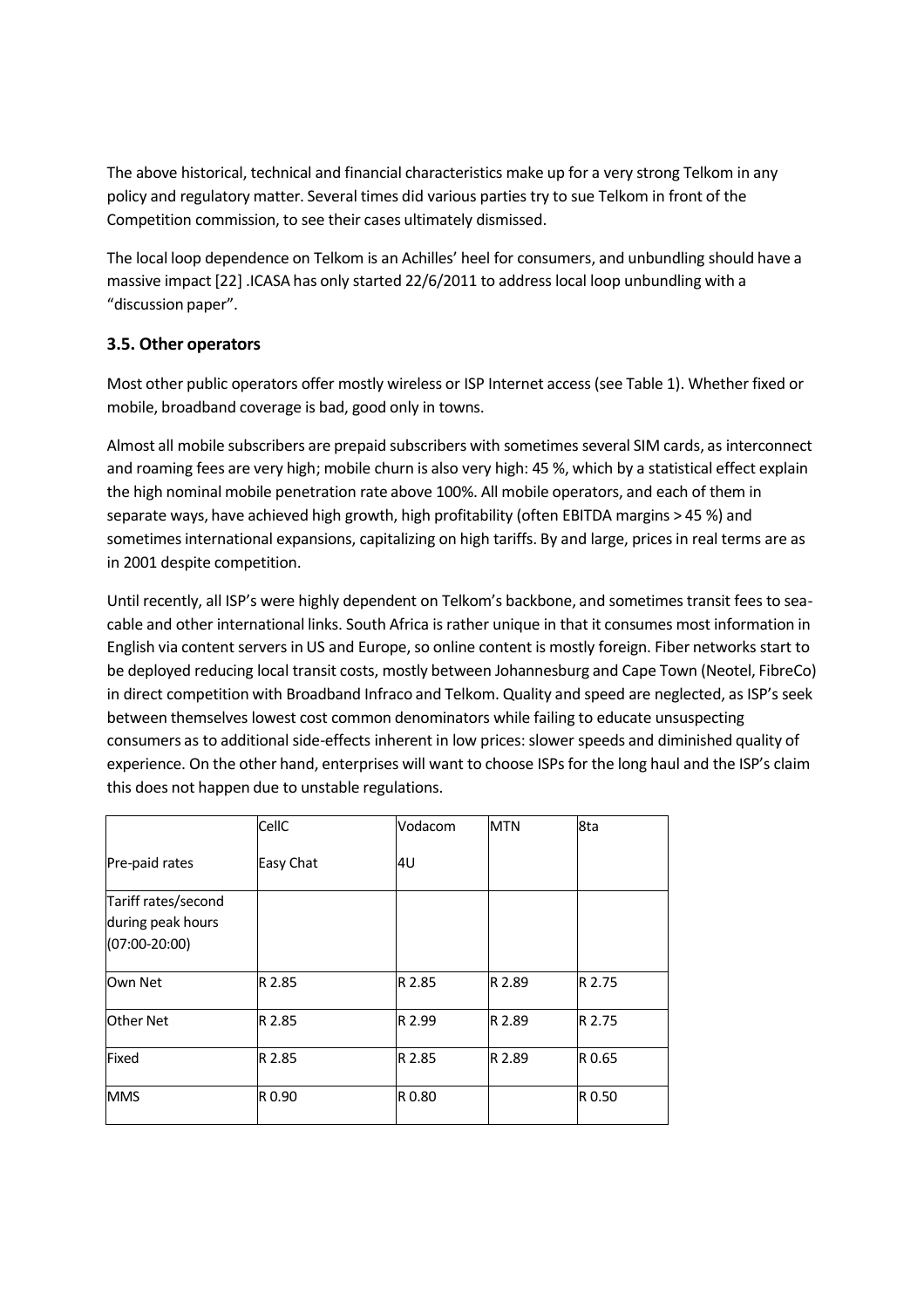The above historical, technical and financial characteristics make up for a very strong Telkom in any policy and regulatory matter. Several times did various parties try to sue Telkom in front of the Competition commission, to see their cases ultimately dismissed.

The local loop dependence on Telkom is an Achilles' heel for consumers, and unbundling should have a massive impact [22] .ICASA has only started 22/6/2011 to address local loop unbundling with a "discussion paper".

#### **3.5. Other operators**

Most other public operators offer mostly wireless or ISP Internet access (see Table 1). Whether fixed or mobile, broadband coverage is bad, good only in towns.

Almost all mobile subscribers are prepaid subscribers with sometimes several SIM cards, as interconnect and roaming fees are very high; mobile churn is also very high: 45 %, which by a statistical effect explain the high nominal mobile penetration rate above 100%. All mobile operators, and each of them in separate ways, have achieved high growth, high profitability (often EBITDA margins > 45 %) and sometimes international expansions, capitalizing on high tariffs. By and large, prices in real terms are as in 2001 despite competition.

Until recently, all ISP's were highly dependent on Telkom's backbone, and sometimes transit fees to seacable and other international links. South Africa is rather unique in that it consumes most information in English via content servers in US and Europe, so online content is mostly foreign. Fiber networks start to be deployed reducing local transit costs, mostly between Johannesburg and Cape Town (Neotel, FibreCo) in direct competition with Broadband Infraco and Telkom. Quality and speed are neglected, as ISP's seek between themselves lowest cost common denominators while failing to educate unsuspecting consumers as to additional side-effects inherent in low prices: slower speeds and diminished quality of experience. On the other hand, enterprises will want to choose ISPs for the long haul and the ISP's claim this does not happen due to unstable regulations.

|                                                             | CellC     | Vodacom | <b>MTN</b> | 8ta    |
|-------------------------------------------------------------|-----------|---------|------------|--------|
| Pre-paid rates                                              | Easy Chat | 4U      |            |        |
| Tariff rates/second<br>during peak hours<br>$(07:00-20:00)$ |           |         |            |        |
| Own Net                                                     | R 2.85    | R 2.85  | R 2.89     | R 2.75 |
| <b>Other Net</b>                                            | R 2.85    | R 2.99  | R 2.89     | R 2.75 |
| Fixed                                                       | R 2.85    | R 2.85  | R 2.89     | R 0.65 |
| <b>MMS</b>                                                  | R 0.90    | R 0.80  |            | R 0.50 |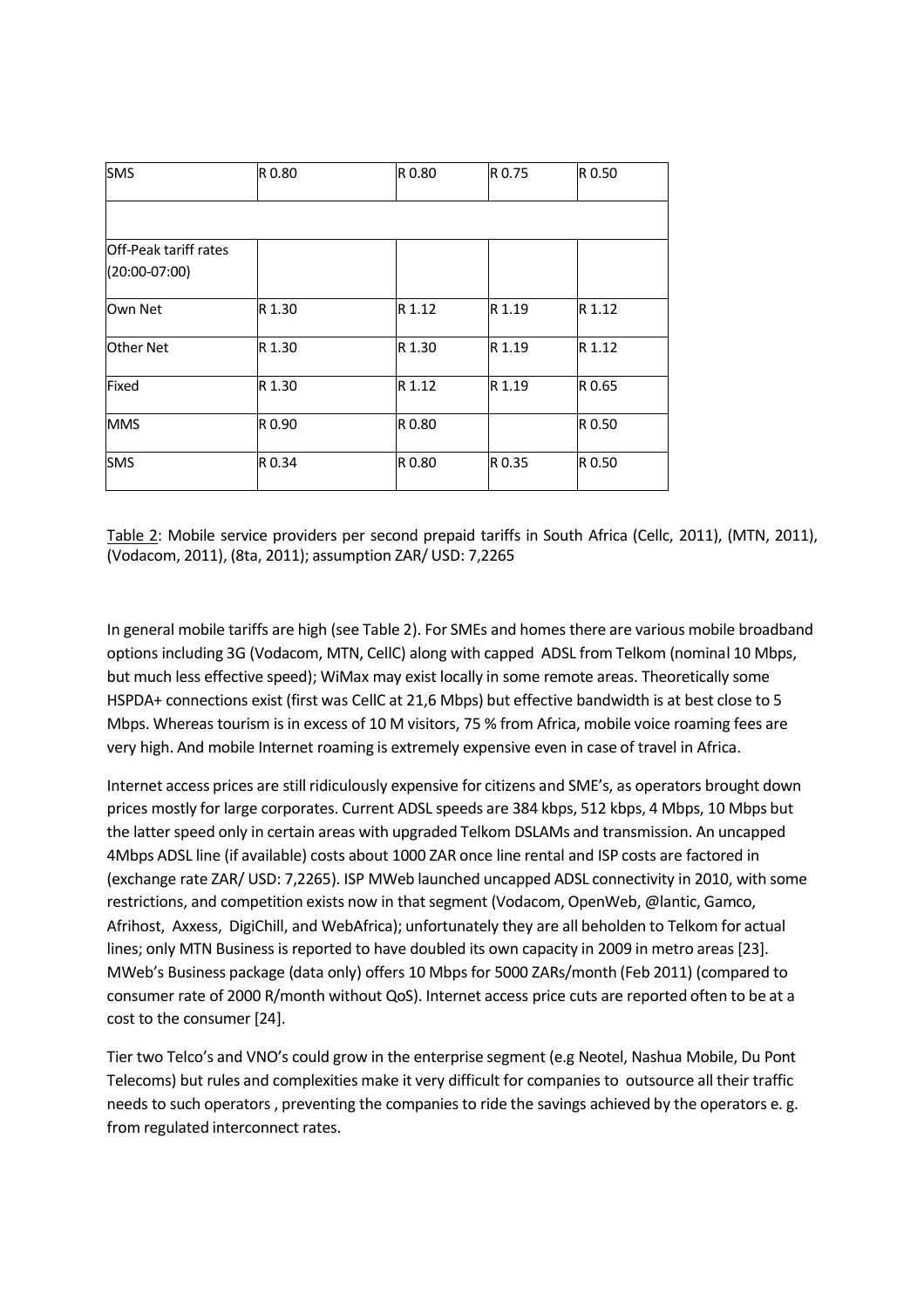| <b>SMS</b>                   | R 0.80 | R 0.80 | R 0.75 | R 0.50 |
|------------------------------|--------|--------|--------|--------|
|                              |        |        |        |        |
| <b>Off-Peak tariff rates</b> |        |        |        |        |
| $(20:00-07:00)$              |        |        |        |        |
| Own Net                      | R 1.30 | R 1.12 | R 1.19 | R 1.12 |
| <b>Other Net</b>             | R 1.30 | R 1.30 | R 1.19 | R 1.12 |
| Fixed                        | R 1.30 | R 1.12 | R 1.19 | R 0.65 |
| <b>MMS</b>                   | R 0.90 | R 0.80 |        | R 0.50 |
| <b>SMS</b>                   | R 0.34 | R 0.80 | R 0.35 | R 0.50 |

Table 2: Mobile service providers per second prepaid tariffs in South Africa (Cellc, 2011), (MTN, 2011), (Vodacom, 2011), (8ta, 2011); assumption ZAR/ USD: 7,2265

In general mobile tariffs are high (see Table 2). For SMEs and homes there are various mobile broadband options including 3G (Vodacom, MTN, CellC) along with capped ADSL from Telkom (nominal 10 Mbps, but much less effective speed); WiMax may exist locally in some remote areas. Theoretically some HSPDA+ connections exist (first was CellC at 21,6 Mbps) but effective bandwidth is at best close to 5 Mbps. Whereas tourism is in excess of 10 M visitors, 75 % from Africa, mobile voice roaming fees are very high. And mobile Internet roaming is extremely expensive even in case of travel in Africa.

Internet access prices are still ridiculously expensive for citizens and SME's, as operators brought down prices mostly for large corporates. Current ADSL speeds are 384 kbps, 512 kbps, 4 Mbps, 10 Mbps but the latter speed only in certain areas with upgraded Telkom DSLAMs and transmission. An uncapped 4Mbps ADSL line (if available) costs about 1000 ZAR once line rental and ISP costs are factored in (exchange rate ZAR/ USD: 7,2265). ISP MWeb launched uncapped ADSL connectivity in 2010, with some restrictions, and competition exists now in that segment (Vodacom, OpenWeb, @lantic, Gamco, Afrihost, Axxess, DigiChill, and WebAfrica); unfortunately they are all beholden to Telkom for actual lines; only MTN Business is reported to have doubled its own capacity in 2009 in metro areas [23]. MWeb's Business package (data only) offers 10 Mbps for 5000 ZARs/month (Feb 2011) (compared to consumer rate of 2000 R/month without QoS). Internet access price cuts are reported often to be at a cost to the consumer [24].

Tier two Telco's and VNO's could grow in the enterprise segment (e.g Neotel, Nashua Mobile, Du Pont Telecoms) but rules and complexities make it very difficult for companies to outsource all their traffic needs to such operators , preventing the companies to ride the savings achieved by the operators e. g. from regulated interconnect rates.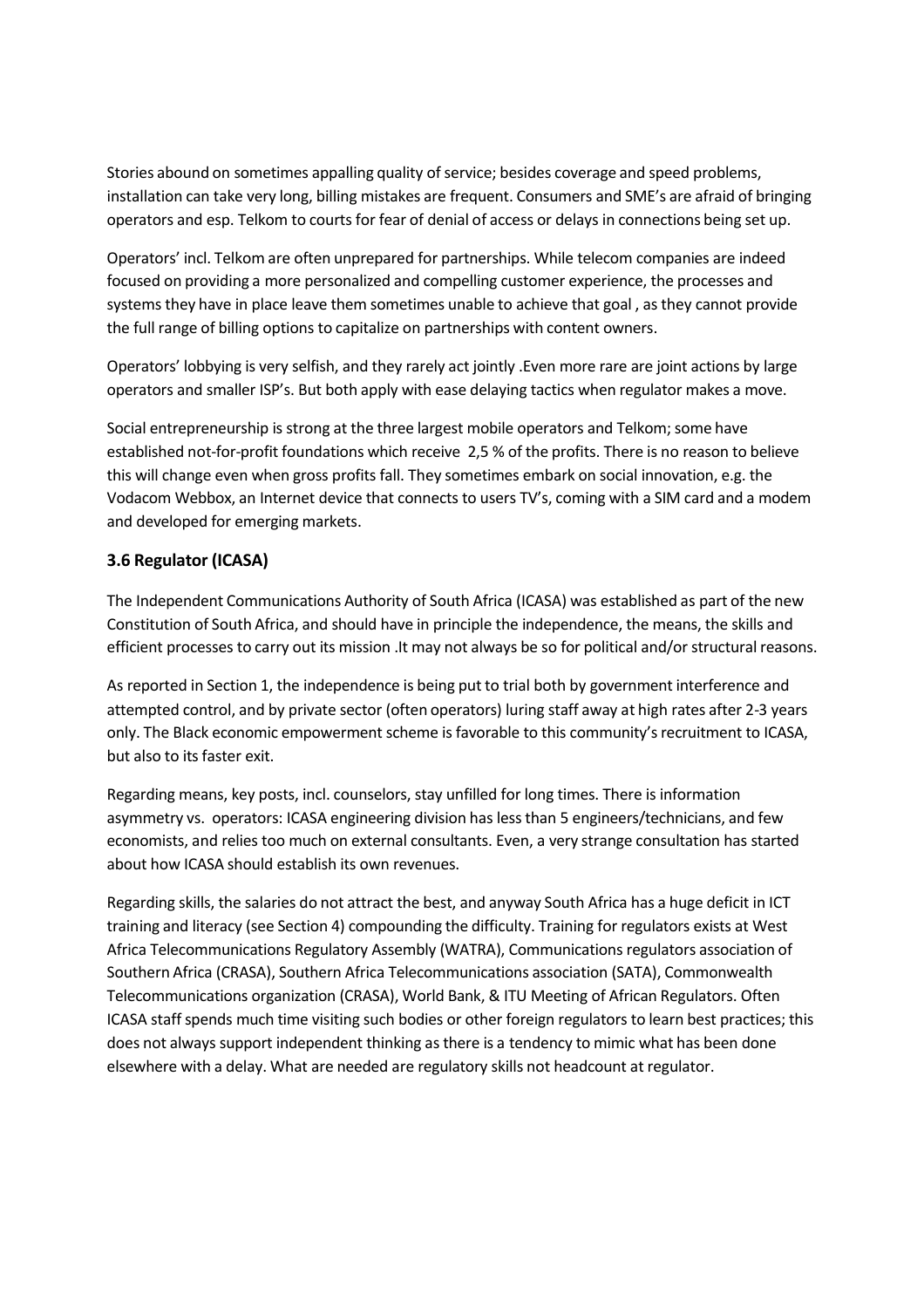Stories abound on sometimes appalling quality of service; besides coverage and speed problems, installation can take very long, billing mistakes are frequent. Consumers and SME's are afraid of bringing operators and esp. Telkom to courts for fear of denial of access or delays in connections being set up.

Operators' incl. Telkom are often unprepared for partnerships. While telecom companies are indeed focused on providing a more personalized and compelling customer experience, the processes and systems they have in place leave them sometimes unable to achieve that goal , as they cannot provide the full range of billing options to capitalize on partnerships with content owners.

Operators' lobbying is very selfish, and they rarely act jointly .Even more rare are joint actions by large operators and smaller ISP's. But both apply with ease delaying tactics when regulator makes a move.

Social entrepreneurship is strong at the three largest mobile operators and Telkom; some have established not-for-profit foundations which receive 2,5 % of the profits. There is no reason to believe this will change even when gross profits fall. They sometimes embark on social innovation, e.g. the Vodacom Webbox, an Internet device that connects to users TV's, coming with a SIM card and a modem and developed for emerging markets.

#### **3.6 Regulator (ICASA)**

The Independent Communications Authority of South Africa (ICASA) was established as part of the new Constitution of South Africa, and should have in principle the independence, the means, the skills and efficient processes to carry out its mission .It may not always be so for political and/or structural reasons.

As reported in Section 1, the independence is being put to trial both by government interference and attempted control, and by private sector (often operators) luring staff away at high rates after 2-3 years only. The Black economic empowerment scheme is favorable to this community's recruitment to ICASA, but also to its faster exit.

Regarding means, key posts, incl. counselors, stay unfilled for long times. There is information asymmetry vs. operators: ICASA engineering division has less than 5 engineers/technicians, and few economists, and relies too much on external consultants. Even, a very strange consultation has started about how ICASA should establish its own revenues.

Regarding skills, the salaries do not attract the best, and anyway South Africa has a huge deficit in ICT training and literacy (see Section 4) compounding the difficulty. Training for regulators exists at West Africa Telecommunications Regulatory Assembly (WATRA), Communications regulators association of Southern Africa (CRASA), Southern Africa Telecommunications association (SATA), Commonwealth Telecommunications organization (CRASA), World Bank, & ITU Meeting of African Regulators. Often ICASA staff spends much time visiting such bodies or other foreign regulators to learn best practices; this does not always support independent thinking as there is a tendency to mimic what has been done elsewhere with a delay. What are needed are regulatory skills not headcount at regulator.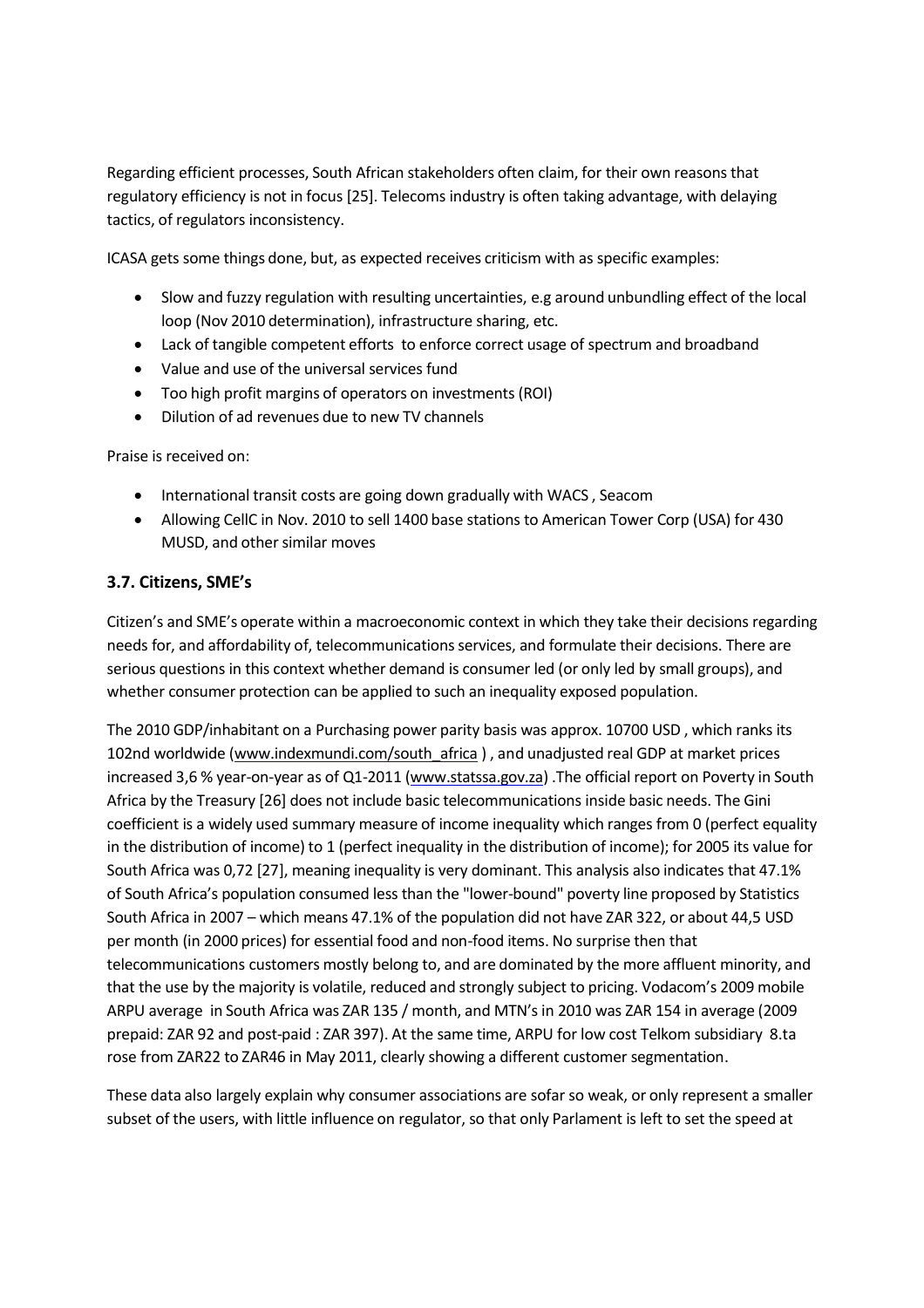Regarding efficient processes, South African stakeholders often claim, for their own reasons that regulatory efficiency is not in focus [25]. Telecoms industry is often taking advantage, with delaying tactics, of regulators inconsistency.

ICASA gets some things done, but, as expected receives criticism with as specific examples:

- Slow and fuzzy regulation with resulting uncertainties, e.g around unbundling effect of the local loop (Nov 2010 determination), infrastructure sharing, etc.
- Lack of tangible competent efforts to enforce correct usage of spectrum and broadband
- Value and use of the universal services fund
- Too high profit margins of operators on investments (ROI)
- Dilution of ad revenues due to new TV channels

Praise is received on:

- International transit costs are going down gradually with WACS, Seacom
- Allowing CellC in Nov. 2010 to sell 1400 base stations to American Tower Corp (USA) for 430 MUSD, and other similar moves

#### **3.7. Citizens, SME's**

Citizen's and SME's operate within a macroeconomic context in which they take their decisions regarding needs for, and affordability of, telecommunications services, and formulate their decisions. There are serious questions in this context whether demand is consumer led (or only led by small groups), and whether consumer protection can be applied to such an inequality exposed population.

The 2010 GDP/inhabitant on a Purchasing power parity basis was approx. 10700 USD , which ranks its 102nd worldwide ([www.indexmundi.com/south\\_africa](www.indexmundi.com/south_africa) ) , and unadjusted real GDP at market prices increased 3,6 % year-on-year as of Q1-2011 [\(www.statssa.gov.za\)](www.statssa.gov.za) .The official report on Poverty in South Africa by the Treasury [26] does not include basic telecommunications inside basic needs. The Gini coefficient is a widely used summary measure of income inequality which ranges from 0 (perfect equality in the distribution of income) to 1 (perfect inequality in the distribution of income); for 2005 its value for South Africa was 0,72 [27], meaning inequality is very dominant. This analysis also indicates that 47.1% of South Africa's population consumed less than the "lower-bound" poverty line proposed by Statistics South Africa in 2007 – which means 47.1% of the population did not have ZAR 322, or about 44,5 USD per month (in 2000 prices) for essential food and non-food items. No surprise then that telecommunications customers mostly belong to, and are dominated by the more affluent minority, and that the use by the majority is volatile, reduced and strongly subject to pricing. Vodacom's 2009 mobile ARPU average in South Africa was ZAR 135 / month, and MTN's in 2010 was ZAR 154 in average (2009 prepaid: ZAR 92 and post-paid : ZAR 397). At the same time, ARPU for low cost Telkom subsidiary 8.ta rose from ZAR22 to ZAR46 in May 2011, clearly showing a different customer segmentation.

These data also largely explain why consumer associations are sofar so weak, or only represent a smaller subset of the users, with little influence on regulator, so that only Parlament is left to set the speed at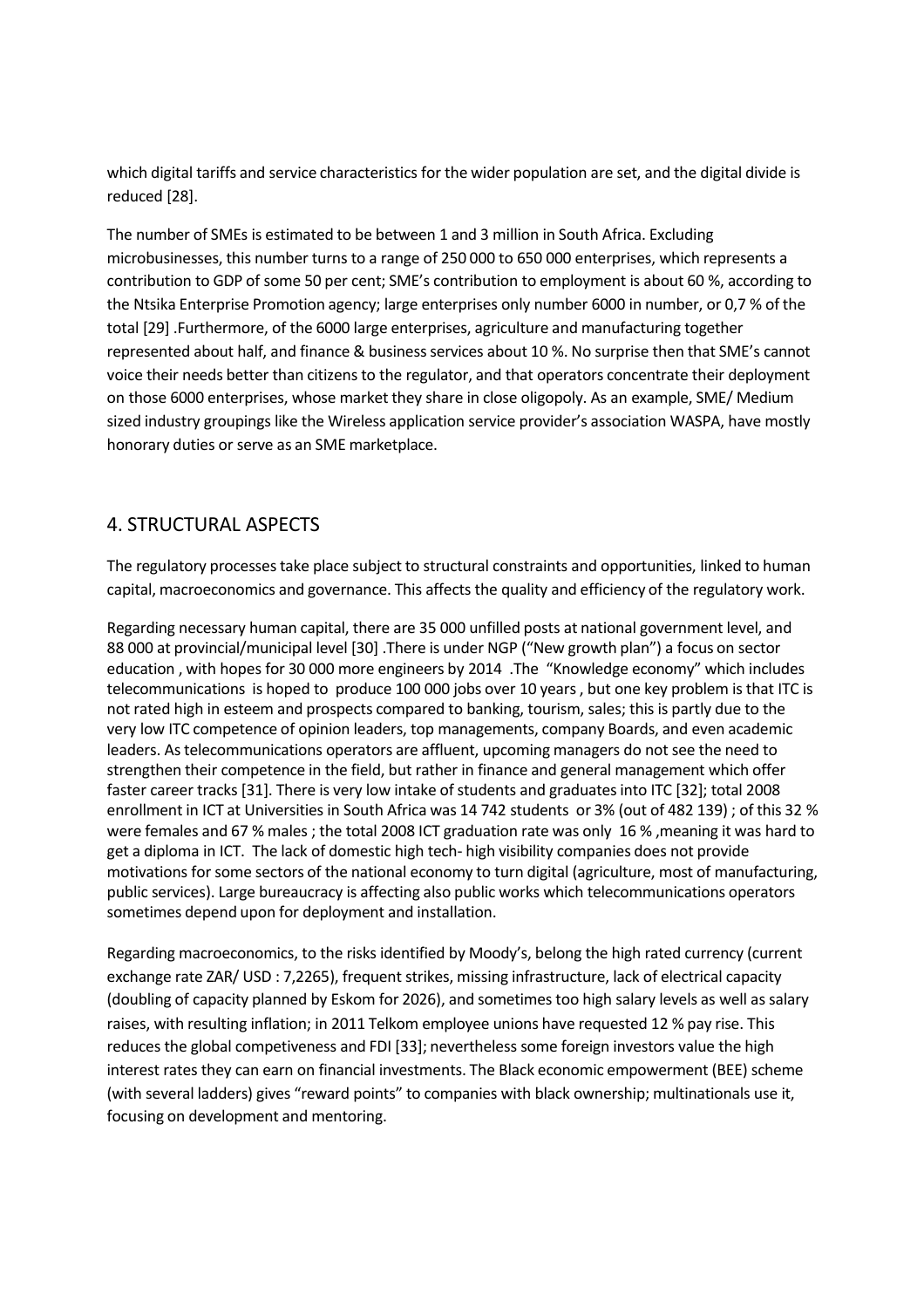which digital tariffs and service characteristics for the wider population are set, and the digital divide is reduced [28].

The number of SMEs is estimated to be between 1 and 3 million in South Africa. Excluding microbusinesses, this number turns to a range of 250 000 to 650 000 enterprises, which represents a contribution to GDP of some 50 per cent; SME's contribution to employment is about 60 %, according to the Ntsika Enterprise Promotion agency; large enterprises only number 6000 in number, or 0,7 % of the total [29] .Furthermore, of the 6000 large enterprises, agriculture and manufacturing together represented about half, and finance & business services about 10 %. No surprise then that SME's cannot voice their needs better than citizens to the regulator, and that operators concentrate their deployment on those 6000 enterprises, whose market they share in close oligopoly. As an example, SME/ Medium sized industry groupings like the Wireless application service provider's association WASPA, have mostly honorary duties or serve as an SME marketplace.

## 4. STRUCTURAL ASPECTS

The regulatory processes take place subject to structural constraints and opportunities, linked to human capital, macroeconomics and governance. This affects the quality and efficiency of the regulatory work.

Regarding necessary human capital, there are 35 000 unfilled posts at national government level, and 88 000 at provincial/municipal level [30] .There is under NGP ("New growth plan") a focus on sector education , with hopes for 30 000 more engineers by 2014 .The "Knowledge economy" which includes telecommunications is hoped to produce 100 000 jobs over 10 years , but one key problem is that ITC is not rated high in esteem and prospects compared to banking, tourism, sales; this is partly due to the very low ITC competence of opinion leaders, top managements, company Boards, and even academic leaders. As telecommunications operators are affluent, upcoming managers do not see the need to strengthen their competence in the field, but rather in finance and general management which offer faster career tracks [31]. There is very low intake of students and graduates into ITC [32]; total 2008 enrollment in ICT at Universities in South Africa was 14 742 students or 3% (out of 482 139) ; of this 32 % were females and 67 % males ; the total 2008 ICT graduation rate was only 16 % ,meaning it was hard to get a diploma in ICT. The lack of domestic high tech- high visibility companies does not provide motivations for some sectors of the national economy to turn digital (agriculture, most of manufacturing, public services). Large bureaucracy is affecting also public works which telecommunications operators sometimes depend upon for deployment and installation.

Regarding macroeconomics, to the risks identified by Moody's, belong the high rated currency (current exchange rate ZAR/ USD : 7,2265), frequent strikes, missing infrastructure, lack of electrical capacity (doubling of capacity planned by Eskom for 2026), and sometimes too high salary levels as well as salary raises, with resulting inflation; in 2011 Telkom employee unions have requested 12 % pay rise. This reduces the global competiveness and FDI [33]; nevertheless some foreign investors value the high interest rates they can earn on financial investments. The Black economic empowerment (BEE) scheme (with several ladders) gives "reward points" to companies with black ownership; multinationals use it, focusing on development and mentoring.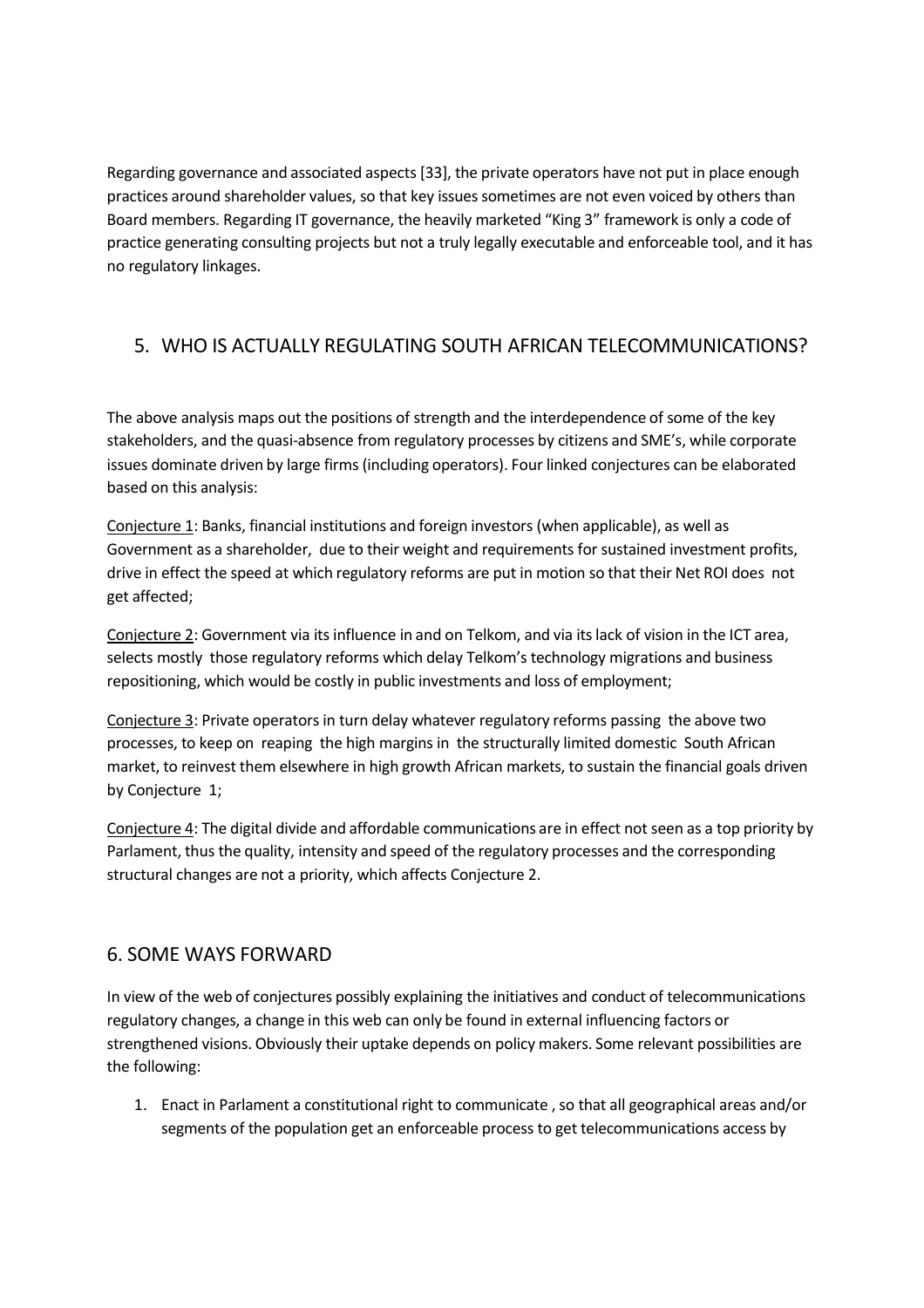Regarding governance and associated aspects [33], the private operators have not put in place enough practices around shareholder values, so that key issues sometimes are not even voiced by others than Board members. Regarding IT governance, the heavily marketed "King 3" framework is only a code of practice generating consulting projects but not a truly legally executable and enforceable tool, and it has no regulatory linkages.

## 5. WHO IS ACTUALLY REGULATING SOUTH AFRICAN TELECOMMUNICATIONS?

The above analysis maps out the positions of strength and the interdependence of some of the key stakeholders, and the quasi-absence from regulatory processes by citizens and SME's, while corporate issues dominate driven by large firms (including operators). Four linked conjectures can be elaborated based on this analysis:

Conjecture 1: Banks, financial institutions and foreign investors (when applicable), as well as Government as a shareholder, due to their weight and requirements for sustained investment profits, drive in effect the speed at which regulatory reforms are put in motion so that their Net ROI does not get affected;

Conjecture 2: Government via its influence in and on Telkom, and via its lack of vision in the ICT area, selects mostly those regulatory reforms which delay Telkom's technology migrations and business repositioning, which would be costly in public investments and loss of employment;

Conjecture 3: Private operators in turn delay whatever regulatory reforms passing the above two processes, to keep on reaping the high margins in the structurally limited domestic South African market, to reinvest them elsewhere in high growth African markets, to sustain the financial goals driven by Conjecture 1;

Conjecture 4: The digital divide and affordable communications are in effect not seen as a top priority by Parlament, thus the quality, intensity and speed of the regulatory processes and the corresponding structural changes are not a priority, which affects Conjecture 2.

## 6. SOME WAYS FORWARD

In view of the web of conjectures possibly explaining the initiatives and conduct of telecommunications regulatory changes, a change in this web can only be found in external influencing factors or strengthened visions. Obviously their uptake depends on policy makers. Some relevant possibilities are the following:

1. Enact in Parlament a constitutional right to communicate , so that all geographical areas and/or segments of the population get an enforceable process to get telecommunications access by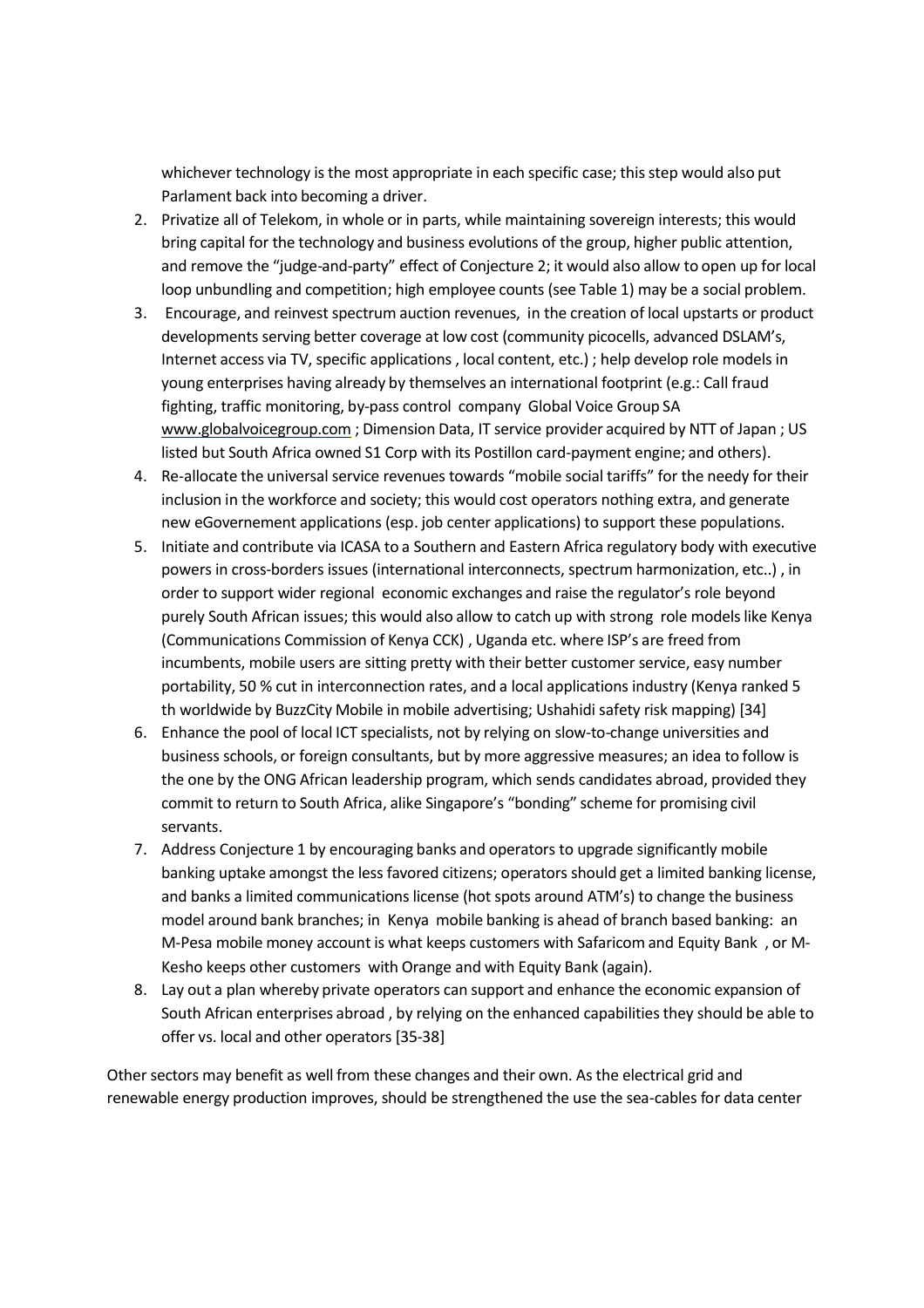whichever technology is the most appropriate in each specific case; this step would also put Parlament back into becoming a driver.

- 2. Privatize all of Telekom, in whole or in parts, while maintaining sovereign interests; this would bring capital for the technology and business evolutions of the group, higher public attention, and remove the "judge-and-party" effect of Conjecture 2; it would also allow to open up for local loop unbundling and competition; high employee counts (see Table 1) may be a social problem.
- 3. Encourage, and reinvest spectrum auction revenues, in the creation of local upstarts or product developments serving better coverage at low cost (community picocells, advanced DSLAM's, Internet access via TV, specific applications , local content, etc.) ; help develop role models in young enterprises having already by themselves an international footprint (e.g.: Call fraud fighting, traffic monitoring, by-pass control company Global Voice Group SA <www.globalvoicegroup.com> ; Dimension Data, IT service provider acquired by NTT of Japan ; US listed but South Africa owned S1 Corp with its Postillon card-payment engine; and others).
- 4. Re-allocate the universal service revenues towards "mobile social tariffs" for the needy for their inclusion in the workforce and society; this would cost operators nothing extra, and generate new eGovernement applications (esp. job center applications) to support these populations.
- 5. Initiate and contribute via ICASA to a Southern and Eastern Africa regulatory body with executive powers in cross-borders issues (international interconnects, spectrum harmonization, etc..) , in order to support wider regional economic exchanges and raise the regulator's role beyond purely South African issues; this would also allow to catch up with strong role models like Kenya (Communications Commission of Kenya CCK) , Uganda etc. where ISP's are freed from incumbents, mobile users are sitting pretty with their better customer service, easy number portability, 50 % cut in interconnection rates, and a local applications industry (Kenya ranked 5 th worldwide by BuzzCity Mobile in mobile advertising; Ushahidi safety risk mapping) [34]
- 6. Enhance the pool of local ICT specialists, not by relying on slow-to-change universities and business schools, or foreign consultants, but by more aggressive measures; an idea to follow is the one by the ONG African leadership program, which sends candidates abroad, provided they commit to return to South Africa, alike Singapore's "bonding" scheme for promising civil servants.
- 7. Address Conjecture 1 by encouraging banks and operators to upgrade significantly mobile banking uptake amongst the less favored citizens; operators should get a limited banking license, and banks a limited communications license (hot spots around ATM's) to change the business model around bank branches; in Kenya mobile banking is ahead of branch based banking: an M-Pesa mobile money account is what keeps customers with Safaricom and Equity Bank, or M-Kesho keeps other customers with Orange and with Equity Bank (again).
- 8. Lay out a plan whereby private operators can support and enhance the economic expansion of South African enterprises abroad , by relying on the enhanced capabilities they should be able to offer vs. local and other operators [35-38]

Other sectors may benefit as well from these changes and their own. As the electrical grid and renewable energy production improves, should be strengthened the use the sea-cables for data center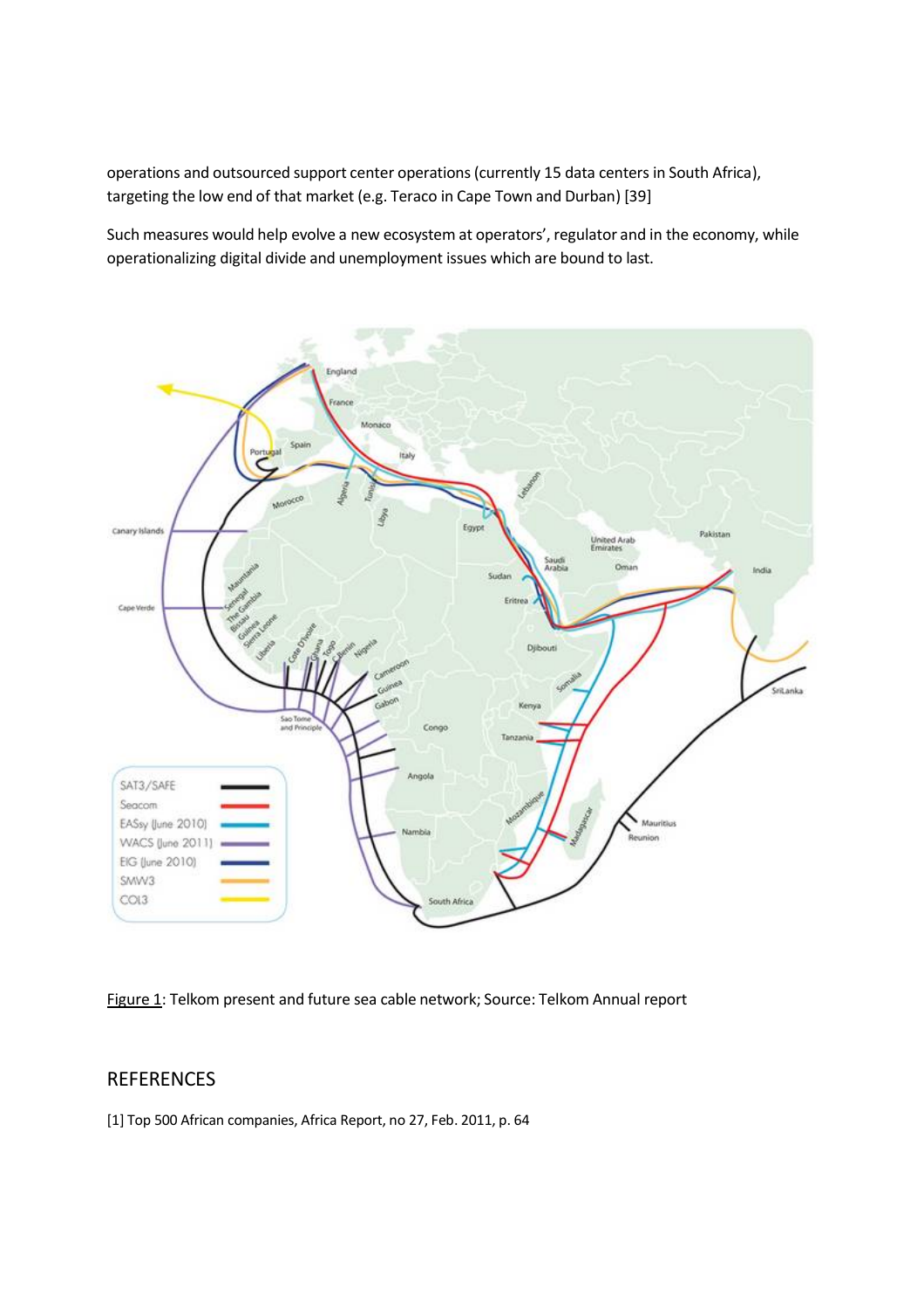operations and outsourced support center operations (currently 15 data centers in South Africa), targeting the low end of that market (e.g. Teraco in Cape Town and Durban) [39]

Such measures would help evolve a new ecosystem at operators', regulator and in the economy, while operationalizing digital divide and unemployment issues which are bound to last.



Figure 1: Telkom present and future sea cable network; Source: Telkom Annual report

#### **REFERENCES**

[1] Top 500 African companies, Africa Report, no 27, Feb. 2011, p. 64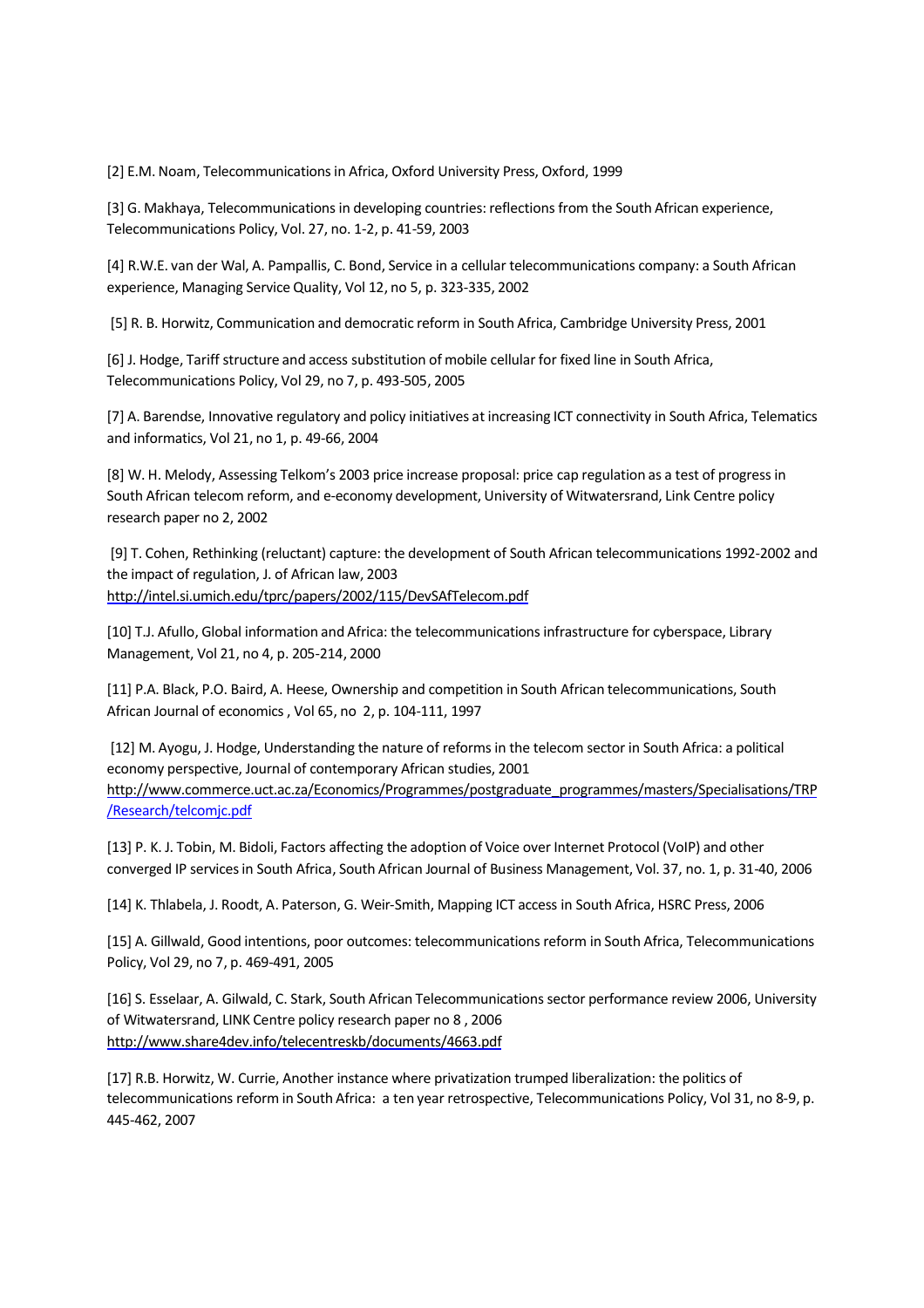[2] E.M. Noam, Telecommunications in Africa, Oxford University Press, Oxford, 1999

[3] G. Makhaya, Telecommunications in developing countries: reflections from the South African experience, Telecommunications Policy, Vol. 27, no. 1-2, p. 41-59, 2003

[4] R.W.E. van der Wal, A. Pampallis, C. Bond, Service in a cellular telecommunications company: a South African experience, Managing Service Quality, Vol 12, no 5, p. 323-335, 2002

[5] R. B. Horwitz, Communication and democratic reform in South Africa, Cambridge University Press, 2001

[6] J. Hodge, Tariff structure and access substitution of mobile cellular for fixed line in South Africa, Telecommunications Policy, Vol 29, no 7, p. 493-505, 2005

[7] A. Barendse, Innovative regulatory and policy initiatives at increasing ICT connectivity in South Africa, Telematics and informatics, Vol 21, no 1, p. 49-66, 2004

[8] W. H. Melody, Assessing Telkom's 2003 price increase proposal: price cap regulation as a test of progress in South African telecom reform, and e-economy development, University of Witwatersrand, Link Centre policy research paper no 2, 2002

[9] T. Cohen, Rethinking (reluctant) capture: the development of South African telecommunications 1992-2002 and the impact of regulation, J. of African law, 2003 <http://intel.si.umich.edu/tprc/papers/2002/115/DevSAfTelecom.pdf>

[10] T.J. Afullo, Global information and Africa: the telecommunications infrastructure for cyberspace, Library Management, Vol 21, no 4, p. 205-214, 2000

[11] P.A. Black, P.O. Baird, A. Heese, Ownership and competition in South African telecommunications, South African Journal of economics , Vol 65, no 2, p. 104-111, 1997

[12] M. Ayogu, J. Hodge, Understanding the nature of reforms in the telecom sector in South Africa: a political economy perspective, Journal of contemporary African studies, 2001 [http://www.commerce.uct.ac.za/Economics/Programmes/postgraduate\\_programmes/masters/Specialisations/TRP](http://www.commerce.uct.ac.za/Economics/Programmes/postgraduate_programmes/masters/Specialisations/TRP) /Research/telcomjc.pdf

[13] P. K. J. Tobin, M. Bidoli, Factors affecting the adoption of Voice over Internet Protocol (VoIP) and other converged IP services in South Africa, South African Journal of Business Management, Vol. 37, no. 1, p. 31-40, 2006

[14] K. Thlabela, J. Roodt, A. Paterson, G. Weir-Smith, Mapping ICT access in South Africa, HSRC Press, 2006

[15] A. Gillwald, Good intentions, poor outcomes: telecommunications reform in South Africa, Telecommunications Policy, Vol 29, no 7, p. 469-491, 2005

[16] S. Esselaar, A. Gilwald, C. Stark, South African Telecommunications sector performance review 2006, University of Witwatersrand, LINK Centre policy research paper no 8 , 2006 <http://www.share4dev.info/telecentreskb/documents/4663.pdf>

[17] R.B. Horwitz, W. Currie, Another instance where privatization trumped liberalization: the politics of telecommunications reform in South Africa: a ten year retrospective, Telecommunications Policy, Vol 31, no 8-9, p. 445-462, 2007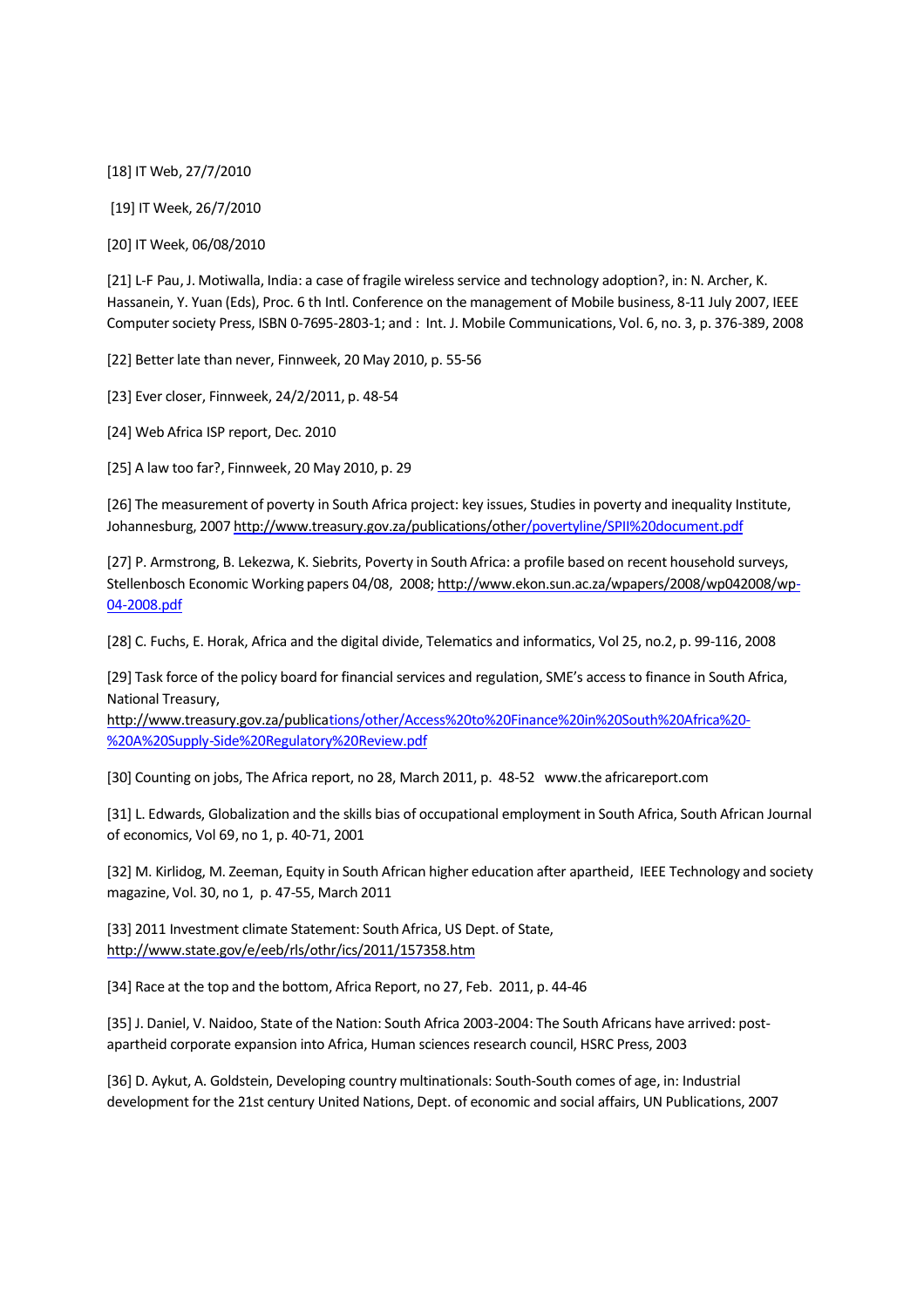[18] IT Web, 27/7/2010

[19] IT Week, 26/7/2010

[20] IT Week, 06/08/2010

[21] L-F Pau, J. Motiwalla, India: a case of fragile wireless service and technology adoption?, in: N. Archer, K. Hassanein, Y. Yuan (Eds), Proc. 6 th Intl. Conference on the management of Mobile business, 8-11 July 2007, IEEE Computer society Press, ISBN 0-7695-2803-1; and : Int. J. Mobile Communications, Vol. 6, no. 3, p. 376-389, 2008

[22] Better late than never, Finnweek, 20 May 2010, p. 55-56

[23] Ever closer, Finnweek, 24/2/2011, p. 48-54

[24] Web Africa ISP report, Dec. 2010

[25] A law too far?, Finnweek, 20 May 2010, p. 29

[26] The measurement of poverty in South Africa project: key issues, Studies in poverty and inequality Institute, Johannesburg, 2007 [http://www.treasury.gov.za/publications/other/](http://www.treasury.gov.za/publications/othe)povertyline/SPII%20document.pdf

[27] P. Armstrong, B. Lekezwa, K. Siebrits, Poverty in South Africa: a profile based on recent household surveys, Stellenbosch Economic Working papers 04/08, 2008; [http://www.ekon.sun.ac.za/wpapers/2008/wp042008/wp-](http://www.ekon.sun.ac.za/wpapers/2008/wp042008/wp)04-2008.pdf

[28] C. Fuchs, E. Horak, Africa and the digital divide, Telematics and informatics, Vol 25, no.2, p. 99-116, 2008

[29] Task force of the policy board for financial services and regulation, SME's accessto finance in South Africa, National Treasury,

[http://www.treasury.gov.za/publicati](http://www.treasury.gov.za/publica)ons/other/Access%20to%20Finance%20in%20South%20Africa%20- %20A%20Supply-Side%20Regulatory%20Review.pdf

[30] Counting on jobs, The Africa report, no 28, March 2011, p. 48-52 www.the africareport.com

[31] L. Edwards, Globalization and the skills bias of occupational employment in South Africa, South African Journal of economics, Vol 69, no 1, p. 40-71, 2001

[32] M. Kirlidog, M. Zeeman, Equity in South African higher education after apartheid, IEEE Technology and society magazine, Vol. 30, no 1, p. 47-55, March 2011

[33] 2011 Investment climate Statement: South Africa, US Dept. of State, <http://www.state.gov/e/eeb/rls/othr/ics/2011/157358.htm>

[34] Race at the top and the bottom, Africa Report, no 27, Feb. 2011, p. 44-46

[35] J. Daniel, V. Naidoo, State of the Nation: South Africa 2003-2004: The South Africans have arrived: postapartheid corporate expansion into Africa, Human sciences research council, HSRC Press, 2003

[36] D. Aykut, A. Goldstein, Developing country multinationals: South-South comes of age, in: Industrial development for the 21st century United Nations, Dept. of economic and social affairs, UN Publications, 2007